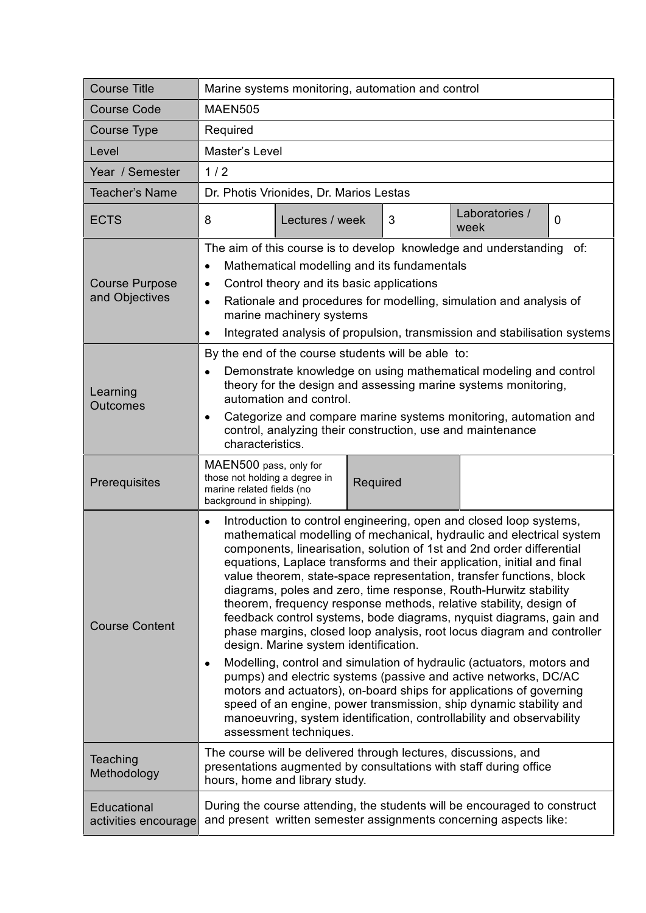| <b>Course Title</b>                     | Marine systems monitoring, automation and control                                                                                                                                                                                                                                                                                                                                                                                                                                                                                                                                                                                                                                                                                                                                                                                                                                                                                                                                                                                                                                                                                |  |  |
|-----------------------------------------|----------------------------------------------------------------------------------------------------------------------------------------------------------------------------------------------------------------------------------------------------------------------------------------------------------------------------------------------------------------------------------------------------------------------------------------------------------------------------------------------------------------------------------------------------------------------------------------------------------------------------------------------------------------------------------------------------------------------------------------------------------------------------------------------------------------------------------------------------------------------------------------------------------------------------------------------------------------------------------------------------------------------------------------------------------------------------------------------------------------------------------|--|--|
| <b>Course Code</b>                      | <b>MAEN505</b>                                                                                                                                                                                                                                                                                                                                                                                                                                                                                                                                                                                                                                                                                                                                                                                                                                                                                                                                                                                                                                                                                                                   |  |  |
| Course Type                             | Required                                                                                                                                                                                                                                                                                                                                                                                                                                                                                                                                                                                                                                                                                                                                                                                                                                                                                                                                                                                                                                                                                                                         |  |  |
| Level                                   | Master's Level                                                                                                                                                                                                                                                                                                                                                                                                                                                                                                                                                                                                                                                                                                                                                                                                                                                                                                                                                                                                                                                                                                                   |  |  |
| Year / Semester                         | 1/2                                                                                                                                                                                                                                                                                                                                                                                                                                                                                                                                                                                                                                                                                                                                                                                                                                                                                                                                                                                                                                                                                                                              |  |  |
| <b>Teacher's Name</b>                   | Dr. Photis Vrionides, Dr. Marios Lestas                                                                                                                                                                                                                                                                                                                                                                                                                                                                                                                                                                                                                                                                                                                                                                                                                                                                                                                                                                                                                                                                                          |  |  |
| <b>ECTS</b>                             | Laboratories /<br>8<br>Lectures / week<br>3<br>$\overline{0}$<br>week                                                                                                                                                                                                                                                                                                                                                                                                                                                                                                                                                                                                                                                                                                                                                                                                                                                                                                                                                                                                                                                            |  |  |
| <b>Course Purpose</b><br>and Objectives | The aim of this course is to develop knowledge and understanding<br>of:<br>Mathematical modelling and its fundamentals<br>$\bullet$<br>Control theory and its basic applications<br>$\bullet$<br>Rationale and procedures for modelling, simulation and analysis of<br>$\bullet$<br>marine machinery systems<br>Integrated analysis of propulsion, transmission and stabilisation systems<br>$\bullet$                                                                                                                                                                                                                                                                                                                                                                                                                                                                                                                                                                                                                                                                                                                           |  |  |
| Learning<br><b>Outcomes</b>             | By the end of the course students will be able to:<br>Demonstrate knowledge on using mathematical modeling and control<br>$\bullet$<br>theory for the design and assessing marine systems monitoring,<br>automation and control.<br>Categorize and compare marine systems monitoring, automation and<br>$\bullet$<br>control, analyzing their construction, use and maintenance<br>characteristics.                                                                                                                                                                                                                                                                                                                                                                                                                                                                                                                                                                                                                                                                                                                              |  |  |
| Prerequisites                           | MAEN500 pass, only for<br>those not holding a degree in<br>Required<br>marine related fields (no<br>background in shipping).                                                                                                                                                                                                                                                                                                                                                                                                                                                                                                                                                                                                                                                                                                                                                                                                                                                                                                                                                                                                     |  |  |
| <b>Course Content</b>                   | Introduction to control engineering, open and closed loop systems,<br>$\bullet$<br>mathematical modelling of mechanical, hydraulic and electrical system<br>components, linearisation, solution of 1st and 2nd order differential<br>equations, Laplace transforms and their application, initial and final<br>value theorem, state-space representation, transfer functions, block<br>diagrams, poles and zero, time response, Routh-Hurwitz stability<br>theorem, frequency response methods, relative stability, design of<br>feedback control systems, bode diagrams, nyquist diagrams, gain and<br>phase margins, closed loop analysis, root locus diagram and controller<br>design. Marine system identification.<br>Modelling, control and simulation of hydraulic (actuators, motors and<br>$\bullet$<br>pumps) and electric systems (passive and active networks, DC/AC<br>motors and actuators), on-board ships for applications of governing<br>speed of an engine, power transmission, ship dynamic stability and<br>manoeuvring, system identification, controllability and observability<br>assessment techniques. |  |  |
| Teaching<br>Methodology                 | The course will be delivered through lectures, discussions, and<br>presentations augmented by consultations with staff during office<br>hours, home and library study.                                                                                                                                                                                                                                                                                                                                                                                                                                                                                                                                                                                                                                                                                                                                                                                                                                                                                                                                                           |  |  |
| Educational<br>activities encourage     | During the course attending, the students will be encouraged to construct<br>and present written semester assignments concerning aspects like:                                                                                                                                                                                                                                                                                                                                                                                                                                                                                                                                                                                                                                                                                                                                                                                                                                                                                                                                                                                   |  |  |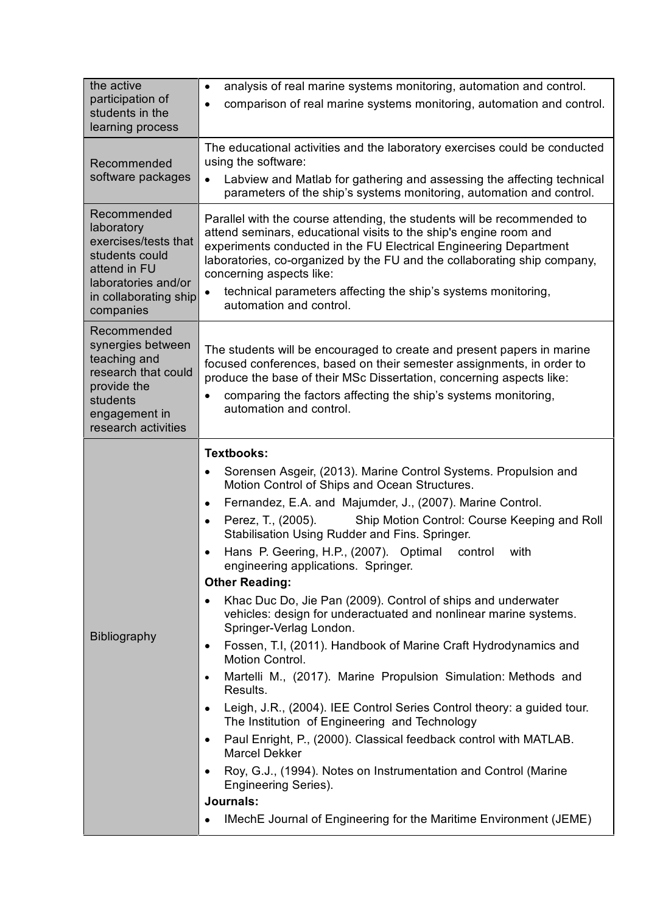| the active                                                                                                                                       | analysis of real marine systems monitoring, automation and control.<br>$\bullet$                                                                                                                                                                                                                                                                                                                                      |  |  |
|--------------------------------------------------------------------------------------------------------------------------------------------------|-----------------------------------------------------------------------------------------------------------------------------------------------------------------------------------------------------------------------------------------------------------------------------------------------------------------------------------------------------------------------------------------------------------------------|--|--|
| participation of<br>students in the                                                                                                              | comparison of real marine systems monitoring, automation and control.<br>٠                                                                                                                                                                                                                                                                                                                                            |  |  |
| learning process                                                                                                                                 |                                                                                                                                                                                                                                                                                                                                                                                                                       |  |  |
| Recommended<br>software packages                                                                                                                 | The educational activities and the laboratory exercises could be conducted<br>using the software:                                                                                                                                                                                                                                                                                                                     |  |  |
|                                                                                                                                                  | Labview and Matlab for gathering and assessing the affecting technical<br>$\bullet$<br>parameters of the ship's systems monitoring, automation and control.                                                                                                                                                                                                                                                           |  |  |
| Recommended<br>laboratory<br>exercises/tests that<br>students could<br>attend in FU<br>laboratories and/or<br>in collaborating ship<br>companies | Parallel with the course attending, the students will be recommended to<br>attend seminars, educational visits to the ship's engine room and<br>experiments conducted in the FU Electrical Engineering Department<br>laboratories, co-organized by the FU and the collaborating ship company,<br>concerning aspects like:<br>technical parameters affecting the ship's systems monitoring,<br>automation and control. |  |  |
| Recommended<br>synergies between<br>teaching and<br>research that could<br>provide the<br>students<br>engagement in<br>research activities       | The students will be encouraged to create and present papers in marine<br>focused conferences, based on their semester assignments, in order to<br>produce the base of their MSc Dissertation, concerning aspects like:<br>comparing the factors affecting the ship's systems monitoring,<br>automation and control.                                                                                                  |  |  |
| <b>Bibliography</b>                                                                                                                              | <b>Textbooks:</b>                                                                                                                                                                                                                                                                                                                                                                                                     |  |  |
|                                                                                                                                                  | Sorensen Asgeir, (2013). Marine Control Systems. Propulsion and<br>$\bullet$<br>Motion Control of Ships and Ocean Structures.                                                                                                                                                                                                                                                                                         |  |  |
|                                                                                                                                                  | Fernandez, E.A. and Majumder, J., (2007). Marine Control.<br>$\bullet$                                                                                                                                                                                                                                                                                                                                                |  |  |
|                                                                                                                                                  | Perez, T., (2005).<br>Ship Motion Control: Course Keeping and Roll<br>$\bullet$<br>Stabilisation Using Rudder and Fins. Springer.                                                                                                                                                                                                                                                                                     |  |  |
|                                                                                                                                                  | Hans P. Geering, H.P., (2007). Optimal control<br>with<br>$\bullet$<br>engineering applications. Springer.                                                                                                                                                                                                                                                                                                            |  |  |
|                                                                                                                                                  | <b>Other Reading:</b>                                                                                                                                                                                                                                                                                                                                                                                                 |  |  |
|                                                                                                                                                  | Khac Duc Do, Jie Pan (2009). Control of ships and underwater<br>$\bullet$<br>vehicles: design for underactuated and nonlinear marine systems.<br>Springer-Verlag London.                                                                                                                                                                                                                                              |  |  |
|                                                                                                                                                  | Fossen, T.I, (2011). Handbook of Marine Craft Hydrodynamics and<br>$\bullet$<br>Motion Control.                                                                                                                                                                                                                                                                                                                       |  |  |
|                                                                                                                                                  | Martelli M., (2017). Marine Propulsion Simulation: Methods and<br>$\bullet$<br>Results.                                                                                                                                                                                                                                                                                                                               |  |  |
|                                                                                                                                                  | Leigh, J.R., (2004). IEE Control Series Control theory: a guided tour.<br>$\bullet$<br>The Institution of Engineering and Technology                                                                                                                                                                                                                                                                                  |  |  |
|                                                                                                                                                  | Paul Enright, P., (2000). Classical feedback control with MATLAB.<br>$\bullet$<br><b>Marcel Dekker</b>                                                                                                                                                                                                                                                                                                                |  |  |
|                                                                                                                                                  | Roy, G.J., (1994). Notes on Instrumentation and Control (Marine<br>$\bullet$<br>Engineering Series).                                                                                                                                                                                                                                                                                                                  |  |  |
|                                                                                                                                                  | Journals:                                                                                                                                                                                                                                                                                                                                                                                                             |  |  |
|                                                                                                                                                  | IMechE Journal of Engineering for the Maritime Environment (JEME)<br>$\bullet$                                                                                                                                                                                                                                                                                                                                        |  |  |